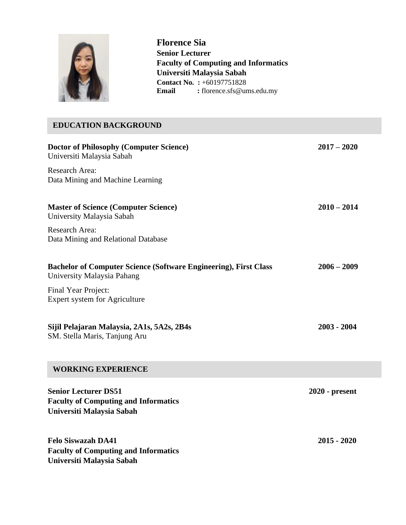

**Florence Sia Senior Lecturer Faculty of Computing and Informatics Universiti Malaysia Sabah Contact No. :** +60197751828 Email : florence.sfs@ums.edu.my

# **Doctor of Philosophy (Computer Science) 2017 – 2020** Universiti Malaysia Sabah Research Area: Data Mining and Machine Learning **Master of Science (Computer Science) 2010 – 2014** University Malaysia Sabah Research Area: Data Mining and Relational Database **Bachelor of Computer Science (Software Engineering), First Class 2006 – 2009** University Malaysia Pahang Final Year Project: Expert system for Agriculture **Sijil Pelajaran Malaysia, 2A1s, 5A2s, 2B4s 2003 - 2004** SM. Stella Maris, Tanjung Aru **Senior Lecturer DS51 2020 - present Faculty of Computing and Informatics Universiti Malaysia Sabah EDUCATION BACKGROUND WORKING EXPERIENCE**

**Felo Siswazah DA41 2015 - 2020 Faculty of Computing and Informatics Universiti Malaysia Sabah**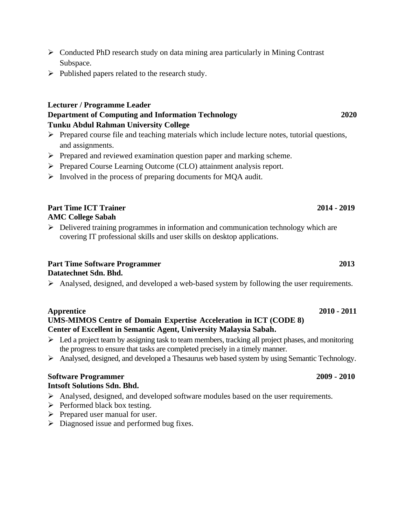- ➢ Conducted PhD research study on data mining area particularly in Mining Contrast Subspace.
- ➢ Published papers related to the research study.

### **Lecturer / Programme Leader Department of Computing and Information Technology 2020 Tunku Abdul Rahman University College**

- ➢ Prepared course file and teaching materials which include lecture notes, tutorial questions, and assignments.
- ➢ Prepared and reviewed examination question paper and marking scheme.
- ➢ Prepared Course Learning Outcome (CLO) attainment analysis report.
- ➢ Involved in the process of preparing documents for MQA audit.

### **Part Time ICT Trainer 2014 - 2019 AMC College Sabah**

 $\triangleright$  Delivered training programmes in information and communication technology which are covering IT professional skills and user skills on desktop applications.

## **Part Time Software Programmer** 2013

### **Datatechnet Sdn. Bhd.**

➢ Analysed, designed, and developed a web-based system by following the user requirements.

### **Apprentice 2010 - 2011**

### **UMS-MIMOS Centre of Domain Expertise Acceleration in ICT (CODE 8) Center of Excellent in Semantic Agent, University Malaysia Sabah.**

- $\triangleright$  Led a project team by assigning task to team members, tracking all project phases, and monitoring the progress to ensure that tasks are completed precisely in a timely manner.
- ➢ Analysed, designed, and developed a Thesaurus web based system by using Semantic Technology.

### **Software Programmer 2009 - 2010 Intsoft Solutions Sdn. Bhd.**

- ➢ Analysed, designed, and developed software modules based on the user requirements.
- $\triangleright$  Performed black box testing.
- ➢ Prepared user manual for user.
- $\triangleright$  Diagnosed issue and performed bug fixes.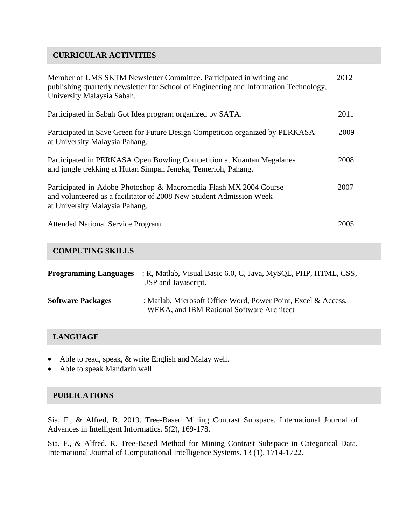### **CURRICULAR ACTIVITIES**

| Member of UMS SKTM Newsletter Committee. Participated in writing and<br>publishing quarterly newsletter for School of Engineering and Information Technology,<br>University Malaysia Sabah. | 2012 |
|---------------------------------------------------------------------------------------------------------------------------------------------------------------------------------------------|------|
| Participated in Sabah Got Idea program organized by SATA.                                                                                                                                   | 2011 |
| Participated in Save Green for Future Design Competition organized by PERKASA<br>at University Malaysia Pahang.                                                                             | 2009 |
| Participated in PERKASA Open Bowling Competition at Kuantan Megalanes<br>and jungle trekking at Hutan Simpan Jengka, Temerloh, Pahang.                                                      | 2008 |
| Participated in Adobe Photoshop & Macromedia Flash MX 2004 Course<br>and volunteered as a facilitator of 2008 New Student Admission Week<br>at University Malaysia Pahang.                  | 2007 |
| Attended National Service Program.                                                                                                                                                          | 2005 |

### **COMPUTING SKILLS**

| <b>Programming Languages</b> | : R, Matlab, Visual Basic 6.0, C, Java, MySQL, PHP, HTML, CSS,<br>JSP and Javascript.                      |
|------------------------------|------------------------------------------------------------------------------------------------------------|
| <b>Software Packages</b>     | : Matlab, Microsoft Office Word, Power Point, Excel & Access,<br>WEKA, and IBM Rational Software Architect |

### **LANGUAGE**

- Able to read, speak, & write English and Malay well.
- Able to speak Mandarin well.

### **PUBLICATIONS**

Sia, F., & Alfred, R. 2019. Tree-Based Mining Contrast Subspace. International Journal of Advances in Intelligent Informatics. 5(2), 169-178.

Sia, F., & Alfred, R. Tree-Based Method for Mining Contrast Subspace in Categorical Data. International Journal of Computational Intelligence Systems. 13 (1), 1714-1722.